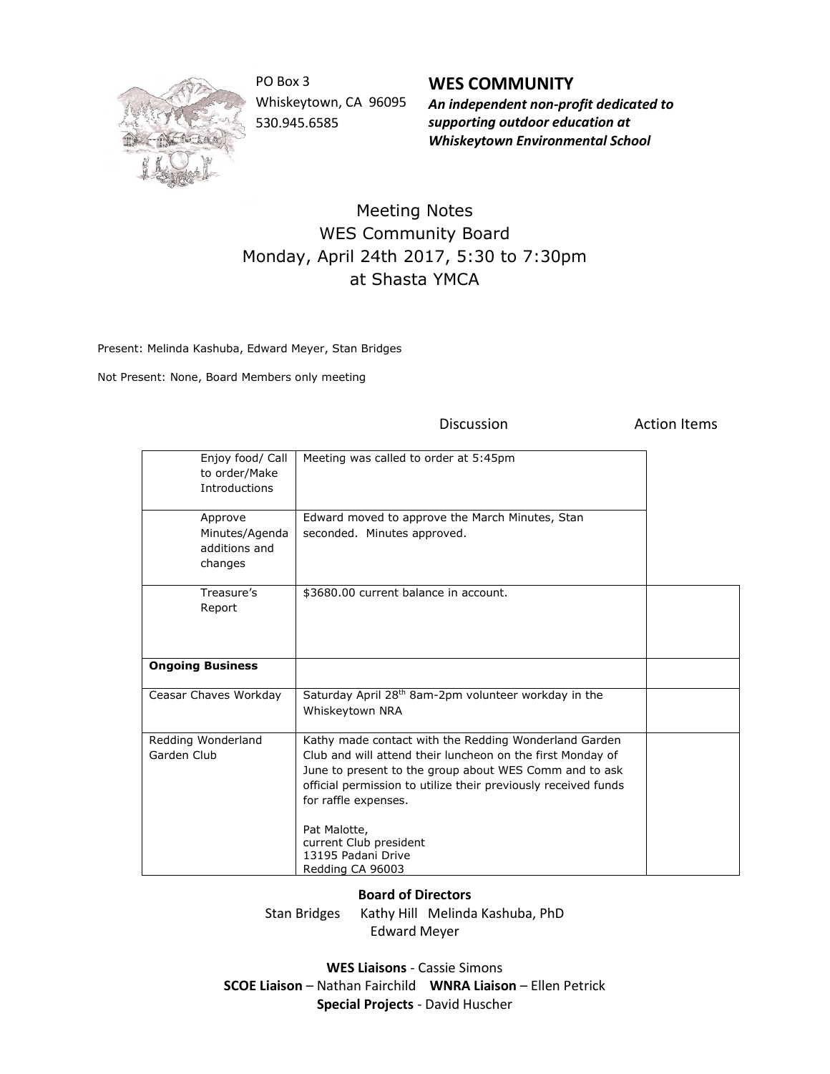

PO Box 3 Whiskeytown, CA 96095 530.945.6585

**WES COMMUNITY** *An independent non-profit dedicated to* 

*supporting outdoor education at Whiskeytown Environmental School*

## Meeting Notes WES Community Board Monday, April 24th 2017, 5:30 to 7:30pm at Shasta YMCA

Present: Melinda Kashuba, Edward Meyer, Stan Bridges

Not Present: None, Board Members only meeting

Discussion **Action** Items

| Enjoy food/ Call<br>to order/Make<br>Introductions    | Meeting was called to order at 5:45pm                                                                                                                                                                                                                                                                                                                       |  |
|-------------------------------------------------------|-------------------------------------------------------------------------------------------------------------------------------------------------------------------------------------------------------------------------------------------------------------------------------------------------------------------------------------------------------------|--|
| Approve<br>Minutes/Agenda<br>additions and<br>changes | Edward moved to approve the March Minutes, Stan<br>seconded. Minutes approved.                                                                                                                                                                                                                                                                              |  |
| Treasure's<br>Report                                  | \$3680.00 current balance in account.                                                                                                                                                                                                                                                                                                                       |  |
| <b>Ongoing Business</b>                               |                                                                                                                                                                                                                                                                                                                                                             |  |
| Ceasar Chaves Workday                                 | Saturday April 28 <sup>th</sup> 8am-2pm volunteer workday in the<br>Whiskeytown NRA                                                                                                                                                                                                                                                                         |  |
| Redding Wonderland<br>Garden Club                     | Kathy made contact with the Redding Wonderland Garden<br>Club and will attend their luncheon on the first Monday of<br>June to present to the group about WES Comm and to ask<br>official permission to utilize their previously received funds<br>for raffle expenses.<br>Pat Malotte,<br>current Club president<br>13195 Padani Drive<br>Redding CA 96003 |  |

## **Board of Directors**

Stan Bridges Kathy Hill Melinda Kashuba, PhD Edward Meyer

**WES Liaisons** - Cassie Simons **SCOE Liaison** – Nathan Fairchild **WNRA Liaison** – Ellen Petrick **Special Projects** - David Huscher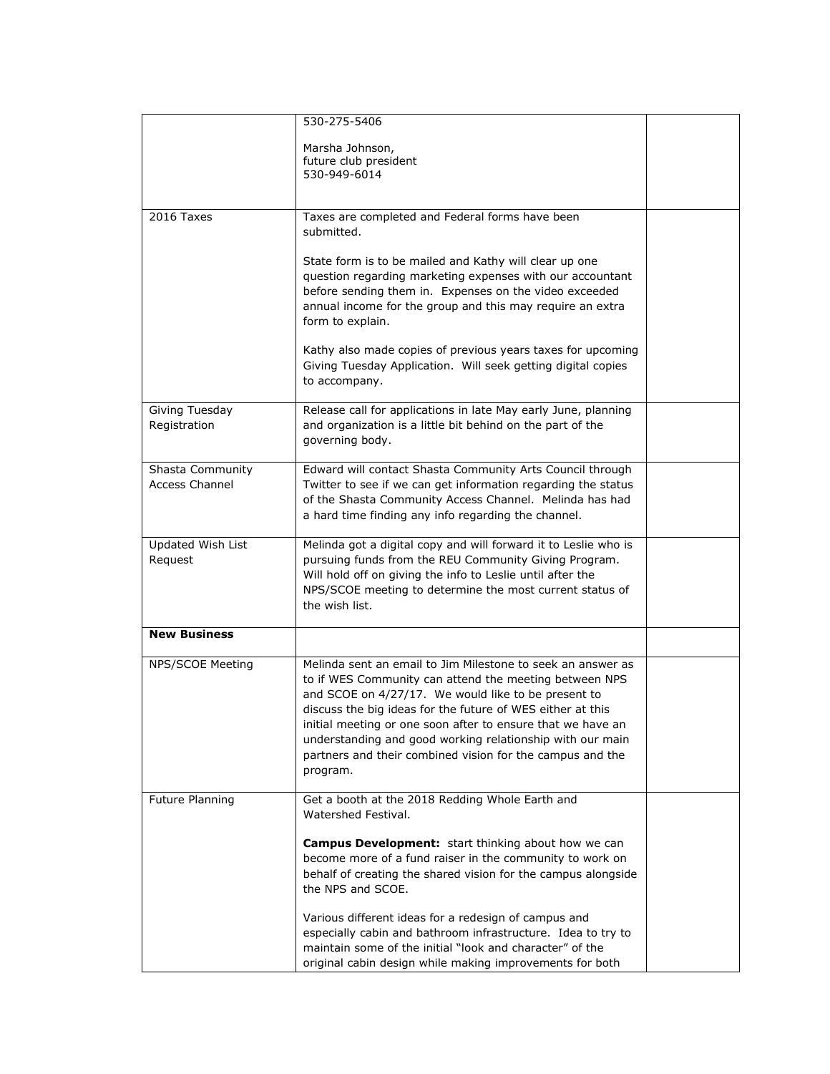|                       | 530-275-5406                                                                                                                |  |
|-----------------------|-----------------------------------------------------------------------------------------------------------------------------|--|
|                       | Marsha Johnson,                                                                                                             |  |
|                       | future club president                                                                                                       |  |
|                       | 530-949-6014                                                                                                                |  |
|                       |                                                                                                                             |  |
| 2016 Taxes            | Taxes are completed and Federal forms have been                                                                             |  |
|                       | submitted.                                                                                                                  |  |
|                       |                                                                                                                             |  |
|                       | State form is to be mailed and Kathy will clear up one<br>question regarding marketing expenses with our accountant         |  |
|                       | before sending them in. Expenses on the video exceeded                                                                      |  |
|                       | annual income for the group and this may require an extra                                                                   |  |
|                       | form to explain.                                                                                                            |  |
|                       |                                                                                                                             |  |
|                       | Kathy also made copies of previous years taxes for upcoming<br>Giving Tuesday Application. Will seek getting digital copies |  |
|                       | to accompany.                                                                                                               |  |
|                       |                                                                                                                             |  |
| Giving Tuesday        | Release call for applications in late May early June, planning                                                              |  |
| Registration          | and organization is a little bit behind on the part of the                                                                  |  |
|                       | governing body.                                                                                                             |  |
| Shasta Community      | Edward will contact Shasta Community Arts Council through                                                                   |  |
| <b>Access Channel</b> | Twitter to see if we can get information regarding the status                                                               |  |
|                       | of the Shasta Community Access Channel. Melinda has had                                                                     |  |
|                       | a hard time finding any info regarding the channel.                                                                         |  |
| Updated Wish List     | Melinda got a digital copy and will forward it to Leslie who is                                                             |  |
| Request               | pursuing funds from the REU Community Giving Program.                                                                       |  |
|                       | Will hold off on giving the info to Leslie until after the                                                                  |  |
|                       | NPS/SCOE meeting to determine the most current status of                                                                    |  |
|                       | the wish list.                                                                                                              |  |
| <b>New Business</b>   |                                                                                                                             |  |
|                       |                                                                                                                             |  |
| NPS/SCOE Meeting      | Melinda sent an email to Jim Milestone to seek an answer as                                                                 |  |
|                       | to if WES Community can attend the meeting between NPS<br>and SCOE on 4/27/17. We would like to be present to               |  |
|                       | discuss the big ideas for the future of WES either at this                                                                  |  |
|                       | initial meeting or one soon after to ensure that we have an                                                                 |  |
|                       | understanding and good working relationship with our main                                                                   |  |
|                       | partners and their combined vision for the campus and the                                                                   |  |
|                       | program.                                                                                                                    |  |
| Future Planning       | Get a booth at the 2018 Redding Whole Earth and                                                                             |  |
|                       | Watershed Festival.                                                                                                         |  |
|                       |                                                                                                                             |  |
|                       | <b>Campus Development:</b> start thinking about how we can<br>become more of a fund raiser in the community to work on      |  |
|                       | behalf of creating the shared vision for the campus alongside                                                               |  |
|                       | the NPS and SCOE.                                                                                                           |  |
|                       |                                                                                                                             |  |
|                       | Various different ideas for a redesign of campus and                                                                        |  |
|                       | especially cabin and bathroom infrastructure. Idea to try to<br>maintain some of the initial "look and character" of the    |  |
|                       | original cabin design while making improvements for both                                                                    |  |
|                       |                                                                                                                             |  |